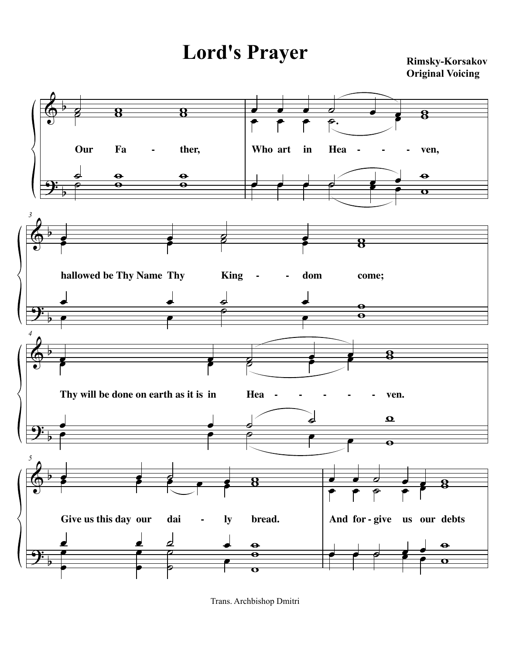## Lord's Prayer Rimsky-Korsakov

**Original Voicing**



Trans. Archbishop Dmitri